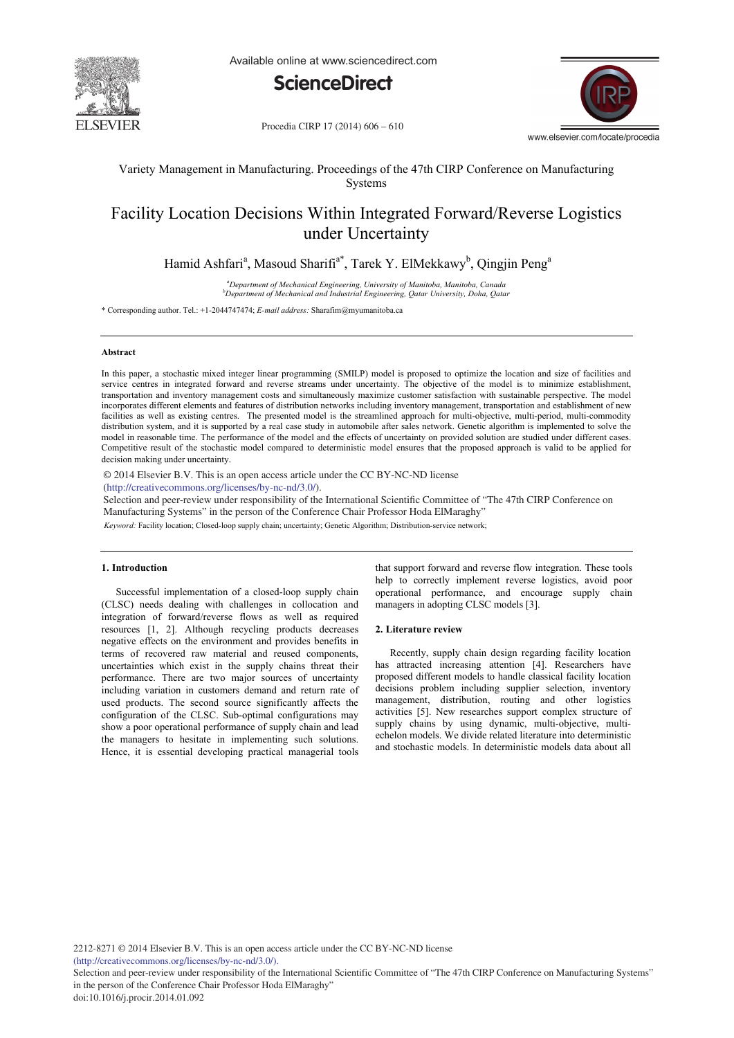

Available online at www.sciencedirect.com





Procedia CIRP 17 (2014) 606 - 610

Variety Management in Manufacturing. Proceedings of the 47th CIRP Conference on Manufacturing Systems

## Facility Location Decisions Within Integrated Forward/Reverse Logistics under Uncertainty

Hamid Ashfari<sup>a</sup>, Masoud Sharifi<sup>a\*</sup>, Tarek Y. ElMekkawy<sup>b</sup>, Qingjin Peng<sup>a</sup>

*a Department of Mechanical Engineering, University of Manitoba, Manitoba, Canada b Department of Mechanical and Industrial Engineering, Qatar University, Doha, Qatar*

\* Corresponding author. Tel.: +1-2044747474; *E-mail address:* Sharafim@myumanitoba.ca

#### **Abstract**

In this paper, a stochastic mixed integer linear programming (SMILP) model is proposed to optimize the location and size of facilities and service centres in integrated forward and reverse streams under uncertainty. The objective of the model is to minimize establishment, transportation and inventory management costs and simultaneously maximize customer satisfaction with sustainable perspective. The model incorporates different elements and features of distribution networks including inventory management, transportation and establishment of new facilities as well as existing centres. The presented model is the streamlined approach for multi-objective, multi-period, multi-commodity distribution system, and it is supported by a real case study in automobile after sales network. Genetic algorithm is implemented to solve the model in reasonable time. The performance of the model and the effects of uncertainty on provided solution are studied under different cases. Competitive result of the stochastic model compared to deterministic model ensures that the proposed approach is valid to be applied for decision making under uncertainty.

© 2014 Elsevier B.V. This is an open access article under the CC BY-NC-ND license

© 2014 The Authors. Published by Elsevier B.V. (http://creativecommons.org/licenses/by-nc-nd/3.0/).

 $\sum_{i=1}^{\infty}$  and performance of the International Scientific Committee of the Scientific Circumstance of  $\sum_{i=1}^{\infty}$ Selection and peer-review under responsibility of the International Scientific Committee of "The 47th CIRP Conference on Manufacturing Systems" in the person of the Conference Chair Professor Hoda ElMaraghy"

*Keyword:* Facility location; Closed-loop supply chain; uncertainty; Genetic Algorithm; Distribution-service network;

#### **1. Introduction**

Successful implementation of a closed-loop supply chain (CLSC) needs dealing with challenges in collocation and integration of forward/reverse flows as well as required resources [1, 2]. Although recycling products decreases negative effects on the environment and provides benefits in terms of recovered raw material and reused components, uncertainties which exist in the supply chains threat their performance. There are two major sources of uncertainty including variation in customers demand and return rate of used products. The second source significantly affects the configuration of the CLSC. Sub-optimal configurations may show a poor operational performance of supply chain and lead the managers to hesitate in implementing such solutions. Hence, it is essential developing practical managerial tools

that support forward and reverse flow integration. These tools help to correctly implement reverse logistics, avoid poor operational performance, and encourage supply chain managers in adopting CLSC models [3].

#### **2. Literature review**

Recently, supply chain design regarding facility location has attracted increasing attention [4]. Researchers have proposed different models to handle classical facility location decisions problem including supplier selection, inventory management, distribution, routing and other logistics activities [5]. New researches support complex structure of supply chains by using dynamic, multi-objective, multiechelon models. We divide related literature into deterministic and stochastic models. In deterministic models data about all

2212-8271 © 2014 Elsevier B.V. This is an open access article under the CC BY-NC-ND license (http://creativecommons.org/licenses/by-nc-nd/3.0/).

Selection and peer-review under responsibility of the International Scientific Committee of "The 47th CIRP Conference on Manufacturing Systems" in the person of the Conference Chair Professor Hoda ElMaraghy"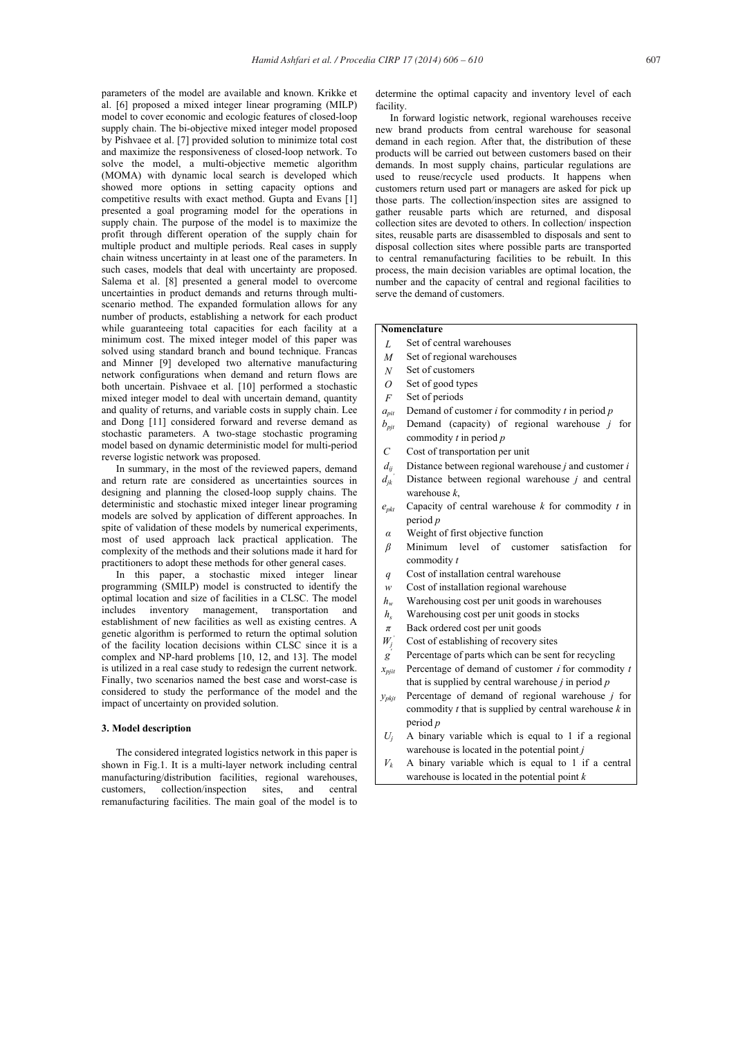parameters of the model are available and known. Krikke et al. [6] proposed a mixed integer linear programing (MILP) model to cover economic and ecologic features of closed-loop supply chain. The bi-objective mixed integer model proposed by Pishvaee et al. [7] provided solution to minimize total cost and maximize the responsiveness of closed-loop network. To solve the model, a multi-objective memetic algorithm (MOMA) with dynamic local search is developed which showed more options in setting capacity options and competitive results with exact method. Gupta and Evans [1] presented a goal programing model for the operations in supply chain. The purpose of the model is to maximize the profit through different operation of the supply chain for multiple product and multiple periods. Real cases in supply chain witness uncertainty in at least one of the parameters. In such cases, models that deal with uncertainty are proposed. Salema et al. [8] presented a general model to overcome uncertainties in product demands and returns through multiscenario method. The expanded formulation allows for any number of products, establishing a network for each product while guaranteeing total capacities for each facility at a minimum cost. The mixed integer model of this paper was solved using standard branch and bound technique. Francas and Minner [9] developed two alternative manufacturing network configurations when demand and return flows are both uncertain. Pishvaee et al. [10] performed a stochastic mixed integer model to deal with uncertain demand, quantity and quality of returns, and variable costs in supply chain. Lee and Dong [11] considered forward and reverse demand as stochastic parameters. A two-stage stochastic programing model based on dynamic deterministic model for multi-period reverse logistic network was proposed.

In summary, in the most of the reviewed papers, demand and return rate are considered as uncertainties sources in designing and planning the closed-loop supply chains. The deterministic and stochastic mixed integer linear programing models are solved by application of different approaches. In spite of validation of these models by numerical experiments, most of used approach lack practical application. The complexity of the methods and their solutions made it hard for practitioners to adopt these methods for other general cases.

In this paper, a stochastic mixed integer linear programming (SMILP) model is constructed to identify the optimal location and size of facilities in a CLSC. The model includes inventory management, transportation and establishment of new facilities as well as existing centres. A genetic algorithm is performed to return the optimal solution of the facility location decisions within CLSC since it is a complex and NP-hard problems [10, 12, and 13]. The model is utilized in a real case study to redesign the current network. Finally, two scenarios named the best case and worst-case is considered to study the performance of the model and the impact of uncertainty on provided solution.

#### **3. Model description**

The considered integrated logistics network in this paper is shown in Fig.1. It is a multi-layer network including central manufacturing/distribution facilities, regional warehouses, customers, collection/inspection sites, and central remanufacturing facilities. The main goal of the model is to

determine the optimal capacity and inventory level of each facility.

In forward logistic network, regional warehouses receive new brand products from central warehouse for seasonal demand in each region. After that, the distribution of these products will be carried out between customers based on their demands. In most supply chains, particular regulations are used to reuse/recycle used products. It happens when customers return used part or managers are asked for pick up those parts. The collection/inspection sites are assigned to gather reusable parts which are returned, and disposal collection sites are devoted to others. In collection/ inspection sites, reusable parts are disassembled to disposals and sent to disposal collection sites where possible parts are transported to central remanufacturing facilities to be rebuilt. In this process, the main decision variables are optimal location, the number and the capacity of central and regional facilities to serve the demand of customers.

### **Nomenclature**

- *L* Set of central warehouses
- *M* Set of regional warehouses
- *N* Set of customers
- *O* Set of good types
- *F* Set of periods
- $a_{pit}$  Demand of customer *i* for commodity *t* in period *p*
- *bpjt* Demand (capacity) of regional warehouse *j* for
- commodity *t* in period *p*
- *C* Cost of transportation per unit
- *dij* Distance between regional warehouse *j* and customer *i*
- *djk '* Distance between regional warehouse *j* and central warehouse *k*,
- $e_{pkt}$  Capacity of central warehouse *k* for commodity *t* in period *p*
- $\alpha$  Weight of first objective function
- *ȕ* Minimum level of customer satisfaction for commodity *t*
- *q* Cost of installation central warehouse
- *w* Cost of installation regional warehouse
- *hw* Warehousing cost per unit goods in warehouses
- *hs* Warehousing cost per unit goods in stocks
- $\pi$  Back ordered cost per unit goods
- $W_i$ *'* Cost of establishing of recovery sites
- *g'* Percentage of parts which can be sent for recycling
- *xpjit* Percentage of demand of customer i for commodity *t* that is supplied by central warehouse *j* in period *p*
- *ypkjt* Percentage of demand of regional warehouse *j* for commodity *t* that is supplied by central warehouse *k* in period *p*
- $U_i$  A binary variable which is equal to 1 if a regional warehouse is located in the potential point *j*
- $V_k$  A binary variable which is equal to 1 if a central warehouse is located in the potential point *k*